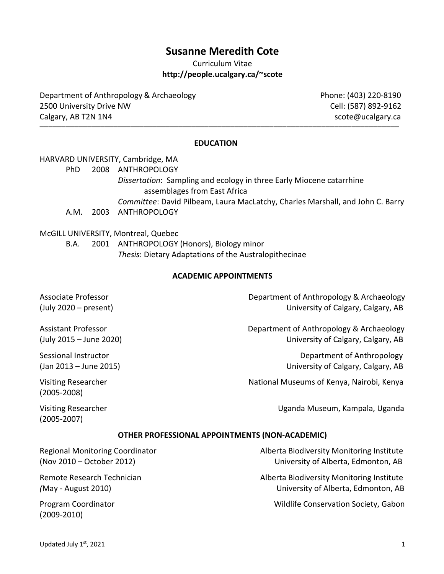# **Susanne Meredith Cote**

Curriculum Vitae **http://people.ucalgary.ca/~scote**

Department of Anthropology & Archaeology **Phone: (403) 220-8190** 2500 University Drive NW Cell: (587) 892-9162 Calgary, AB T2N 1N4 scote@ucalgary.ca \_\_\_\_\_\_\_\_\_\_\_\_\_\_\_\_\_\_\_\_\_\_\_\_\_\_\_\_\_\_\_\_\_\_\_\_\_\_\_\_\_\_\_\_\_\_\_\_\_\_\_\_\_\_\_\_\_\_\_\_\_\_\_\_\_\_\_\_\_\_\_\_\_\_\_\_\_\_\_\_\_\_\_

#### **EDUCATION**

HARVARD UNIVERSITY, Cambridge, MA

PhD 2008 ANTHROPOLOGY

*Dissertation*: Sampling and ecology in three Early Miocene catarrhine assemblages from East Africa

- *Committee*: David Pilbeam, Laura MacLatchy, Charles Marshall, and John C. Barry
- A.M. 2003 ANTHROPOLOGY

#### McGILL UNIVERSITY, Montreal, Quebec

B.A. 2001 ANTHROPOLOGY (Honors), Biology minor *Thesis*: Dietary Adaptations of the Australopithecinae

#### **ACADEMIC APPOINTMENTS**

Associate Professor **Department of Anthropology & Archaeology** (July 2020 – present) University of Calgary, Calgary, AB

Assistant Professor Department of Anthropology & Archaeology (July 2015 – June 2020) University of Calgary, Calgary, AB

Sessional Instructor Department of Anthropology (Jan 2013 – June 2015) University of Calgary, Calgary, AB

Visiting Researcher National Museums of Kenya, Nairobi, Kenya

Visiting Researcher Uganda Museum, Kampala, Uganda

(2005-2007)

(2005-2008)

#### **OTHER PROFESSIONAL APPOINTMENTS (NON-ACADEMIC)**

Regional Monitoring Coordinator **Alberta Biodiversity Monitoring Institute** Alberta Biodiversity Monitoring Institute (Nov 2010 – October 2012) University of Alberta, Edmonton, AB

Remote Research Technician Alberta Biodiversity Monitoring Institute *(*May - August 2010) University of Alberta, Edmonton, AB

Program Coordinator Wildlife Conservation Society, Gabon

(2009-2010)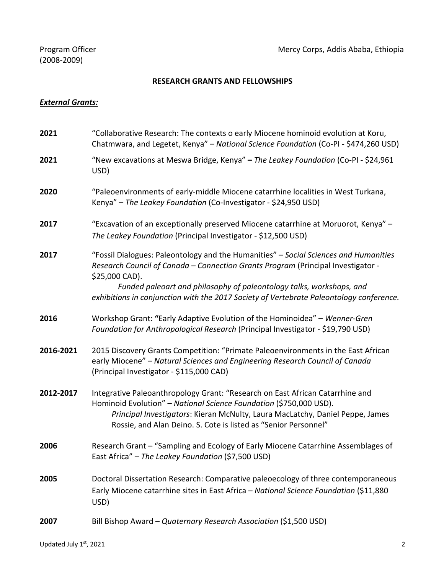## **RESEARCH GRANTS AND FELLOWSHIPS**

#### *External Grants:*

| 2021      | "Collaborative Research: The contexts o early Miocene hominoid evolution at Koru,<br>Chatmwara, and Legetet, Kenya" - National Science Foundation (Co-PI - \$474,260 USD)                                                                                                                                                                                     |  |
|-----------|---------------------------------------------------------------------------------------------------------------------------------------------------------------------------------------------------------------------------------------------------------------------------------------------------------------------------------------------------------------|--|
| 2021      | "New excavations at Meswa Bridge, Kenya" - The Leakey Foundation (Co-PI - \$24,961<br>USD)                                                                                                                                                                                                                                                                    |  |
| 2020      | "Paleoenvironments of early-middle Miocene catarrhine localities in West Turkana,<br>Kenya" - The Leakey Foundation (Co-Investigator - \$24,950 USD)                                                                                                                                                                                                          |  |
| 2017      | "Excavation of an exceptionally preserved Miocene catarrhine at Moruorot, Kenya" -<br>The Leakey Foundation (Principal Investigator - \$12,500 USD)                                                                                                                                                                                                           |  |
| 2017      | "Fossil Dialogues: Paleontology and the Humanities" - Social Sciences and Humanities<br>Research Council of Canada - Connection Grants Program (Principal Investigator -<br>\$25,000 CAD).<br>Funded paleoart and philosophy of paleontology talks, workshops, and<br>exhibitions in conjunction with the 2017 Society of Vertebrate Paleontology conference. |  |
| 2016      | Workshop Grant: "Early Adaptive Evolution of the Hominoidea" - Wenner-Gren<br>Foundation for Anthropological Research (Principal Investigator - \$19,790 USD)                                                                                                                                                                                                 |  |
| 2016-2021 | 2015 Discovery Grants Competition: "Primate Paleoenvironments in the East African<br>early Miocene" - Natural Sciences and Engineering Research Council of Canada<br>(Principal Investigator - \$115,000 CAD)                                                                                                                                                 |  |
| 2012-2017 | Integrative Paleoanthropology Grant: "Research on East African Catarrhine and<br>Hominoid Evolution" - National Science Foundation (\$750,000 USD).<br>Principal Investigators: Kieran McNulty, Laura MacLatchy, Daniel Peppe, James<br>Rossie, and Alan Deino. S. Cote is listed as "Senior Personnel"                                                       |  |
| 2006      | Research Grant - "Sampling and Ecology of Early Miocene Catarrhine Assemblages of<br>East Africa" - The Leakey Foundation (\$7,500 USD)                                                                                                                                                                                                                       |  |
| 2005      | Doctoral Dissertation Research: Comparative paleoecology of three contemporaneous<br>Early Miocene catarrhine sites in East Africa - National Science Foundation (\$11,880<br>USD)                                                                                                                                                                            |  |
| 2007      | Bill Bishop Award - Quaternary Research Association (\$1,500 USD)                                                                                                                                                                                                                                                                                             |  |
|           |                                                                                                                                                                                                                                                                                                                                                               |  |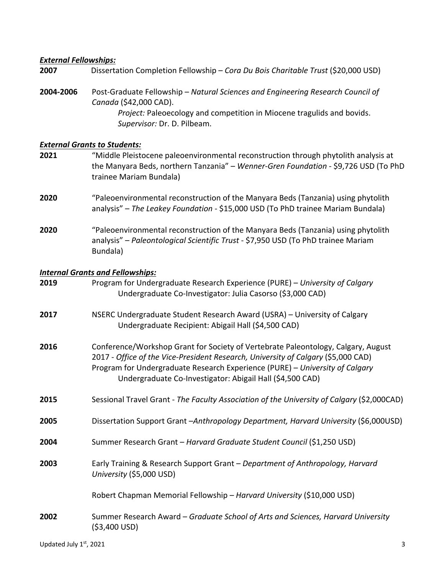## *External Fellowships:*

| 2007      | Dissertation Completion Fellowship - Cora Du Bois Charitable Trust (\$20,000 USD)                                                                                                                                                                                                                                   |  |
|-----------|---------------------------------------------------------------------------------------------------------------------------------------------------------------------------------------------------------------------------------------------------------------------------------------------------------------------|--|
| 2004-2006 | Post-Graduate Fellowship - Natural Sciences and Engineering Research Council of<br>Canada (\$42,000 CAD).<br>Project: Paleoecology and competition in Miocene tragulids and bovids.<br>Supervisor: Dr. D. Pilbeam.                                                                                                  |  |
|           | <b>External Grants to Students:</b>                                                                                                                                                                                                                                                                                 |  |
| 2021      | "Middle Pleistocene paleoenvironmental reconstruction through phytolith analysis at<br>the Manyara Beds, northern Tanzania" - Wenner-Gren Foundation - \$9,726 USD (To PhD<br>trainee Mariam Bundala)                                                                                                               |  |
| 2020      | "Paleoenvironmental reconstruction of the Manyara Beds (Tanzania) using phytolith<br>analysis" - The Leakey Foundation - \$15,000 USD (To PhD trainee Mariam Bundala)                                                                                                                                               |  |
| 2020      | "Paleoenvironmental reconstruction of the Manyara Beds (Tanzania) using phytolith<br>analysis" - Paleontological Scientific Trust - \$7,950 USD (To PhD trainee Mariam<br>Bundala)                                                                                                                                  |  |
|           | <b>Internal Grants and Fellowships:</b>                                                                                                                                                                                                                                                                             |  |
| 2019      | Program for Undergraduate Research Experience (PURE) - University of Calgary<br>Undergraduate Co-Investigator: Julia Casorso (\$3,000 CAD)                                                                                                                                                                          |  |
| 2017      | NSERC Undergraduate Student Research Award (USRA) - University of Calgary<br>Undergraduate Recipient: Abigail Hall (\$4,500 CAD)                                                                                                                                                                                    |  |
| 2016      | Conference/Workshop Grant for Society of Vertebrate Paleontology, Calgary, August<br>2017 - Office of the Vice-President Research, University of Calgary (\$5,000 CAD)<br>Program for Undergraduate Research Experience (PURE) - University of Calgary<br>Undergraduate Co-Investigator: Abigail Hall (\$4,500 CAD) |  |
| 2015      | Sessional Travel Grant - The Faculty Association of the University of Calgary (\$2,000CAD)                                                                                                                                                                                                                          |  |
| 2005      | Dissertation Support Grant-Anthropology Department, Harvard University (\$6,000USD)                                                                                                                                                                                                                                 |  |
| 2004      | Summer Research Grant - Harvard Graduate Student Council (\$1,250 USD)                                                                                                                                                                                                                                              |  |
| 2003      | Early Training & Research Support Grant - Department of Anthropology, Harvard<br>University (\$5,000 USD)                                                                                                                                                                                                           |  |
|           | Robert Chapman Memorial Fellowship - Harvard University (\$10,000 USD)                                                                                                                                                                                                                                              |  |
| 2002      | Summer Research Award - Graduate School of Arts and Sciences, Harvard University<br>$( $3,400$ USD)                                                                                                                                                                                                                 |  |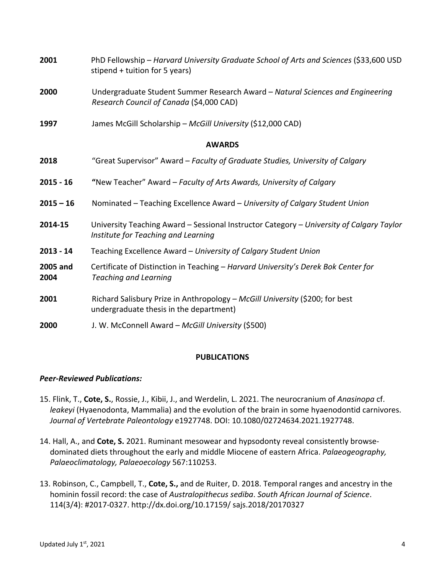| 2001             | PhD Fellowship - Harvard University Graduate School of Arts and Sciences (\$33,600 USD<br>stipend + tuition for 5 years)        |  |
|------------------|---------------------------------------------------------------------------------------------------------------------------------|--|
| 2000             | Undergraduate Student Summer Research Award - Natural Sciences and Engineering<br>Research Council of Canada (\$4,000 CAD)      |  |
| 1997             | James McGill Scholarship - McGill University (\$12,000 CAD)                                                                     |  |
|                  | <b>AWARDS</b>                                                                                                                   |  |
| 2018             | "Great Supervisor" Award - Faculty of Graduate Studies, University of Calgary                                                   |  |
| $2015 - 16$      | "New Teacher" Award - Faculty of Arts Awards, University of Calgary                                                             |  |
| $2015 - 16$      | Nominated - Teaching Excellence Award - University of Calgary Student Union                                                     |  |
| 2014-15          | University Teaching Award - Sessional Instructor Category - University of Calgary Taylor<br>Institute for Teaching and Learning |  |
| $2013 - 14$      | Teaching Excellence Award - University of Calgary Student Union                                                                 |  |
| 2005 and<br>2004 | Certificate of Distinction in Teaching - Harvard University's Derek Bok Center for<br><b>Teaching and Learning</b>              |  |
| 2001             | Richard Salisbury Prize in Anthropology - McGill University (\$200; for best<br>undergraduate thesis in the department)         |  |
| 2000             | J. W. McConnell Award - McGill University (\$500)                                                                               |  |

### **PUBLICATIONS**

### *Peer-Reviewed Publications:*

- 15. Flink, T., **Cote, S.**, Rossie, J., Kibii, J., and Werdelin, L. 2021. The neurocranium of *Anasinopa* cf. *leakeyi* (Hyaenodonta, Mammalia) and the evolution of the brain in some hyaenodontid carnivores. *Journal of Vertebrate Paleontology* e1927748. DOI: 10.1080/02724634.2021.1927748.
- 14. Hall, A., and **Cote, S.** 2021. Ruminant mesowear and hypsodonty reveal consistently browsedominated diets throughout the early and middle Miocene of eastern Africa. *Palaeogeography, Palaeoclimatology, Palaeoecology* 567:110253.
- 13. Robinson, C., Campbell, T., **Cote, S.,** and de Ruiter, D. 2018. Temporal ranges and ancestry in the hominin fossil record: the case of *Australopithecus sediba*. *South African Journal of Science*. 114(3/4): #2017-0327. http://dx.doi.org/10.17159/ sajs.2018/20170327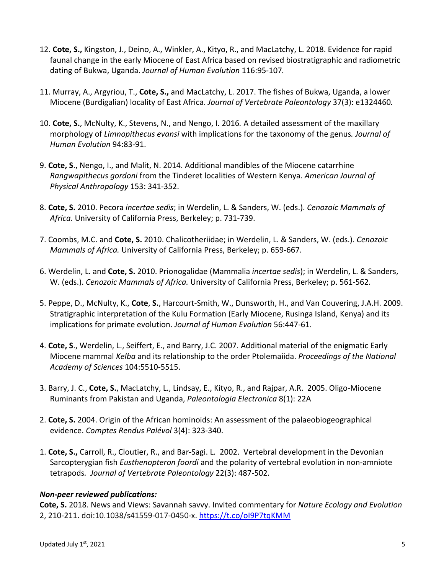- 12. **Cote, S.,** Kingston, J., Deino, A., Winkler, A., Kityo, R., and MacLatchy, L. 2018. Evidence for rapid faunal change in the early Miocene of East Africa based on revised biostratigraphic and radiometric dating of Bukwa, Uganda. *Journal of Human Evolution* 116:95-107*.*
- 11. Murray, A., Argyriou, T., **Cote, S.,** and MacLatchy, L. 2017. The fishes of Bukwa, Uganda, a lower Miocene (Burdigalian) locality of East Africa. *Journal of Vertebrate Paleontology* 37(3): e1324460*.*
- 10. **Cote, S.**, McNulty, K., Stevens, N., and Nengo, I. 2016*.* A detailed assessment of the maxillary morphology of *Limnopithecus evansi* with implications for the taxonomy of the genus*. Journal of Human Evolution* 94:83-91.
- 9. **Cote, S**., Nengo, I., and Malit, N. 2014. Additional mandibles of the Miocene catarrhine *Rangwapithecus gordoni* from the Tinderet localities of Western Kenya. *American Journal of Physical Anthropology* 153: 341-352.
- 8. **Cote, S.** 2010. Pecora *incertae sedis*; in Werdelin, L. & Sanders, W. (eds.). *Cenozoic Mammals of Africa.* University of California Press, Berkeley; p. 731-739.
- 7. Coombs, M.C. and **Cote, S.** 2010. Chalicotheriidae; in Werdelin, L. & Sanders, W. (eds.). *Cenozoic Mammals of Africa.* University of California Press, Berkeley; p. 659-667.
- 6. Werdelin, L. and **Cote, S.** 2010. Prionogalidae (Mammalia *incertae sedis*); in Werdelin, L. & Sanders, W. (eds.). *Cenozoic Mammals of Africa.* University of California Press, Berkeley; p. 561-562.
- 5. Peppe, D., McNulty, K., **Cote**, **S.**, Harcourt-Smith, W., Dunsworth, H., and Van Couvering, J.A.H. 2009. Stratigraphic interpretation of the Kulu Formation (Early Miocene, Rusinga Island, Kenya) and its implications for primate evolution. *Journal of Human Evolution* 56:447-61.
- 4. **Cote, S**., Werdelin, L., Seiffert, E., and Barry, J.C. 2007. Additional material of the enigmatic Early Miocene mammal *Kelba* and its relationship to the order Ptolemaiida. *Proceedings of the National Academy of Sciences* 104:5510-5515.
- 3. Barry, J. C., **Cote, S.**, MacLatchy, L., Lindsay, E., Kityo, R., and Rajpar, A.R. 2005. Oligo-Miocene Ruminants from Pakistan and Uganda, *Paleontologia Electronica* 8(1): 22A
- 2. **Cote, S.** 2004. Origin of the African hominoids: An assessment of the palaeobiogeographical evidence. *Comptes Rendus Palévol* 3(4): 323-340.
- 1. **Cote, S.,** Carroll, R., Cloutier, R., and Bar-Sagi. L. 2002. Vertebral development in the Devonian Sarcopterygian fish *Eusthenopteron foordi* and the polarity of vertebral evolution in non-amniote tetrapods*. Journal of Vertebrate Paleontology* 22(3): 487-502.

### *Non-peer reviewed publications:*

**Cote, S.** 2018. News and Views: Savannah savvy. Invited commentary for *Nature Ecology and Evolution* 2, 210-211. doi:10.1038/s41559-017-0450-x. https://t.co/oI9P7tqKMM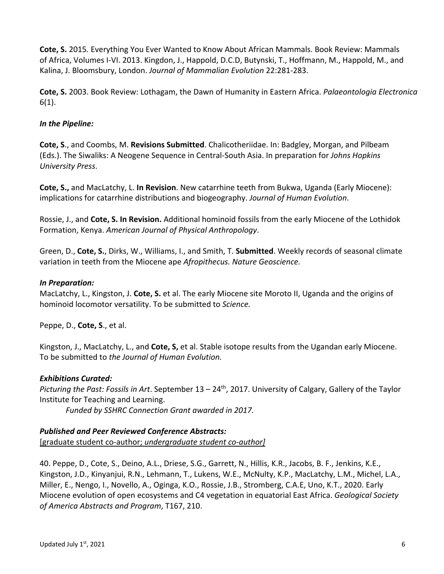**Cote, S.** 2015*.* Everything You Ever Wanted to Know About African Mammals. Book Review: Mammals of Africa, Volumes I-VI. 2013. Kingdon, J., Happold, D.C.D, Butynski, T., Hoffmann, M., Happold, M., and Kalina, J. Bloomsbury, London. *Journal of Mammalian Evolution* 22:281-283.

**Cote, S.** 2003. Book Review: Lothagam, the Dawn of Humanity in Eastern Africa. *Palaeontologia Electronica*  6(1).

## *In the Pipeline:*

**Cote, S**., and Coombs, M. **Revisions Submitted**. Chalicotheriidae. In: Badgley, Morgan, and Pilbeam (Eds.). The Siwaliks: A Neogene Sequence in Central-South Asia. In preparation for *Johns Hopkins University Press*.

**Cote, S.,** and MacLatchy, L. **In Revision**. New catarrhine teeth from Bukwa, Uganda (Early Miocene): implications for catarrhine distributions and biogeography. *Journal of Human Evolution*.

Rossie, J., and **Cote, S. In Revision.** Additional hominoid fossils from the early Miocene of the Lothidok Formation, Kenya. *American Journal of Physical Anthropology*.

Green, D., **Cote, S.**, Dirks, W., Williams, I., and Smith, T. **Submitted**. Weekly records of seasonal climate variation in teeth from the Miocene ape *Afropithecus. Nature Geoscience.* 

## *In Preparation:*

MacLatchy, L., Kingston, J. **Cote, S.** et al. The early Miocene site Moroto II, Uganda and the origins of hominoid locomotor versatility. To be submitted to *Science.*

Peppe, D., **Cote, S**., et al.

Kingston, J., MacLatchy, L., and **Cote, S,** et al. Stable isotope results from the Ugandan early Miocene. To be submitted to *the Journal of Human Evolution.*

### *Exhibitions Curated:*

*Picturing the Past: Fossils in Art*. September 13 – 24th, 2017. University of Calgary, Gallery of the Taylor Institute for Teaching and Learning.

*Funded by SSHRC Connection Grant awarded in 2017.*

### *Published and Peer Reviewed Conference Abstracts:*

[graduate student co-author; *undergraduate student co-author]*

40. Peppe, D., Cote, S., Deino, A.L., Driese, S.G., Garrett, N., Hillis, K.R., Jacobs, B. F., Jenkins, K.E., Kingston, J.D., Kinyanjui, R.N., Lehmann, T., Lukens, W.E., McNulty, K.P., MacLatchy, L.M., Michel, L.A., Miller, E., Nengo, I., Novello, A., Oginga, K.O., Rossie, J.B., Stromberg, C.A.E, Uno, K.T., 2020. Early Miocene evolution of open ecosystems and C4 vegetation in equatorial East Africa. *Geological Society of America Abstracts and Program*, T167, 210.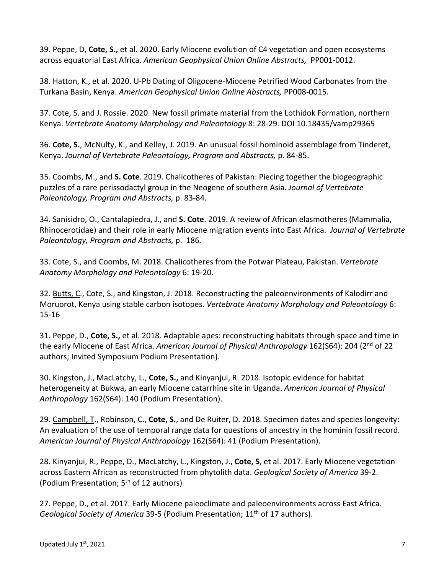39. Peppe, D, **Cote, S.,** et al. 2020. Early Miocene evolution of C4 vegetation and open ecosystems across equatorial East Africa. *American Geophysical Union Online Abstracts,* PP001-0012.

38. Hatton, K., et al. 2020. U-Pb Dating of Oligocene-Miocene Petrified Wood Carbonates from the Turkana Basin, Kenya. *American Geophysical Union Online Abstracts,* PP008-0015*.* 

37. Cote, S. and J. Rossie. 2020. New fossil primate material from the Lothidok Formation, northern Kenya. *Vertebrate Anatomy Morphology and Paleontology* 8: 28-29. DOI 10.18435/vamp29365

36. **Cote, S.**, McNulty, K., and Kelley, J. 2019. An unusual fossil hominoid assemblage from Tinderet, Kenya. *Journal of Vertebrate Paleontology, Program and Abstracts,* p. 84-85.

35. Coombs, M., and **S. Cote**. 2019. Chalicotheres of Pakistan: Piecing together the biogeographic puzzles of a rare perissodactyl group in the Neogene of southern Asia. *Journal of Vertebrate Paleontology, Program and Abstracts,* p. 83-84.

34. Sanisidro, O., Cantalapiedra, J., and **S. Cote**. 2019. A review of African elasmotheres (Mammalia, Rhinocerotidae) and their role in early Miocene migration events into East Africa. *Journal of Vertebrate Paleontology, Program and Abstracts,* p. 186*.*

33. Cote, S., and Coombs, M. 2018. Chalicotheres from the Potwar Plateau, Pakistan. *Vertebrate Anatomy Morphology and Paleontology* 6: 19-20.

32. Butts, C., Cote, S., and Kingston, J. 2018. Reconstructing the paleoenvironments of Kalodirr and Moruorot, Kenya using stable carbon isotopes. *Vertebrate Anatomy Morphology and Paleontology* 6: 15-16

31. Peppe, D., **Cote, S.,** et al. 2018. Adaptable apes: reconstructing habitats through space and time in the early Miocene of East Africa. American Journal of Physical Anthropology 162(S64): 204 (2<sup>nd</sup> of 22 authors; Invited Symposium Podium Presentation).

30. Kingston, J., MacLatchy, L., **Cote, S.,** and Kinyanjui, R. 2018. Isotopic evidence for habitat heterogeneity at Bukwa, an early Miocene catarrhine site in Uganda. *American Journal of Physical Anthropology* 162(S64): 140 (Podium Presentation).

29. Campbell, T., Robinson, C., **Cote, S.**, and De Ruiter, D. 2018. Specimen dates and species longevity: An evaluation of the use of temporal range data for questions of ancestry in the hominin fossil record. *American Journal of Physical Anthropology* 162(S64): 41 (Podium Presentation).

28. Kinyanjui, R., Peppe, D., MacLatchy, L., Kingston, J., **Cote, S**, et al. 2017. Early Miocene vegetation across Eastern African as reconstructed from phytolith data. *Geological Society of America* 39-2. (Podium Presentation; 5th of 12 authors)

27. Peppe, D., et al. 2017. Early Miocene paleoclimate and paleoenvironments across East Africa. *Geological Society of America* 39-5 (Podium Presentation; 11<sup>th</sup> of 17 authors).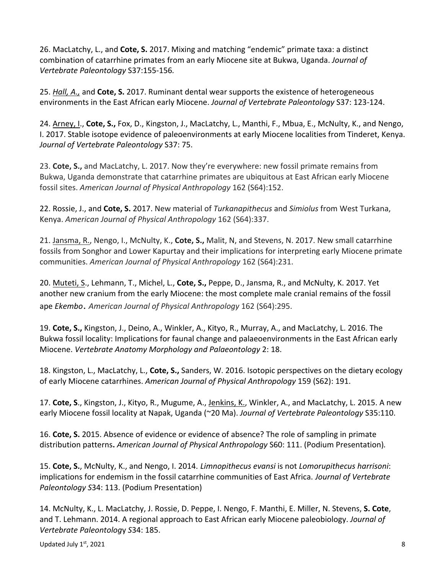26. MacLatchy, L., and **Cote, S.** 2017. Mixing and matching "endemic" primate taxa: a distinct combination of catarrhine primates from an early Miocene site at Bukwa, Uganda. *Journal of Vertebrate Paleontology* S37:155-156*.*

25. *Hall, A.,* and **Cote, S.** 2017. Ruminant dental wear supports the existence of heterogeneous environments in the East African early Miocene. *Journal of Vertebrate Paleontology* S37: 123-124.

24. Arney, I., **Cote, S.,** Fox, D., Kingston, J., MacLatchy, L., Manthi, F., Mbua, E., McNulty, K., and Nengo, I. 2017. Stable isotope evidence of paleoenvironments at early Miocene localities from Tinderet, Kenya. *Journal of Vertebrate Paleontology* S37: 75.

23. **Cote, S.,** and MacLatchy, L. 2017. Now they're everywhere: new fossil primate remains from Bukwa, Uganda demonstrate that catarrhine primates are ubiquitous at East African early Miocene fossil sites. *American Journal of Physical Anthropology* 162 (S64):152.

22. Rossie, J., and **Cote, S.** 2017. New material of *Turkanapithecus* and *Simiolus* from West Turkana, Kenya. *American Journal of Physical Anthropology* 162 (S64):337.

21. Jansma, R., Nengo, I., McNulty, K., **Cote, S.,** Malit, N, and Stevens, N. 2017. New small catarrhine fossils from Songhor and Lower Kapurtay and their implications for interpreting early Miocene primate communities. *American Journal of Physical Anthropology* 162 (S64):231.

20. Muteti, S., Lehmann, T., Michel, L., **Cote, S.,** Peppe, D., Jansma, R., and McNulty, K. 2017. Yet another new cranium from the early Miocene: the most complete male cranial remains of the fossil ape *Ekembo*. *American Journal of Physical Anthropology* 162 (S64):295.

19. **Cote, S.,** Kingston, J., Deino, A., Winkler, A., Kityo, R., Murray, A., and MacLatchy, L. 2016. The Bukwa fossil locality: Implications for faunal change and palaeoenvironments in the East African early Miocene. *Vertebrate Anatomy Morphology and Palaeontology* 2: 18.

18. Kingston, L., MacLatchy, L., **Cote, S.,** Sanders, W. 2016. Isotopic perspectives on the dietary ecology of early Miocene catarrhines. *American Journal of Physical Anthropology* 159 (S62): 191.

17. **Cote, S**., Kingston, J., Kityo, R., Mugume, A., Jenkins, K., Winkler, A., and MacLatchy, L. 2015. A new early Miocene fossil locality at Napak, Uganda (~20 Ma). *Journal of Vertebrate Paleontology* S35:110.

16. **Cote, S.** 2015. Absence of evidence or evidence of absence? The role of sampling in primate distribution patterns**.** *American Journal of Physical Anthropology* S60: 111. (Podium Presentation)*.* 

15. **Cote, S.**, McNulty, K., and Nengo, I. 2014. *Limnopithecus evansi* is not *Lomorupithecus harrisoni*: implications for endemism in the fossil catarrhine communities of East Africa. *Journal of Vertebrate Paleontology S*34: 113. (Podium Presentation)

14. McNulty, K., L. MacLatchy, J. Rossie, D. Peppe, I. Nengo, F. Manthi, E. Miller, N. Stevens, **S. Cote**, and T. Lehmann. 2014. A regional approach to East African early Miocene paleobiology. *Journal of Vertebrate Paleontolog*y *S*34: 185.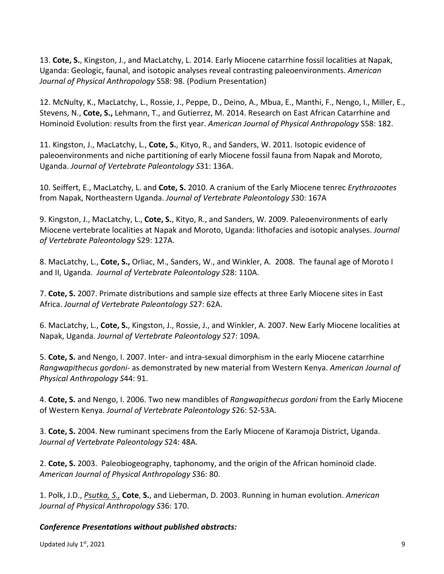13. **Cote, S.**, Kingston, J., and MacLatchy, L. 2014. Early Miocene catarrhine fossil localities at Napak, Uganda: Geologic, faunal, and isotopic analyses reveal contrasting paleoenvironments. *American Journal of Physical Anthropology* S58: 98. (Podium Presentation)

12. McNulty, K., MacLatchy, L., Rossie, J., Peppe, D., Deino, A., Mbua, E., Manthi, F., Nengo, I., Miller, E., Stevens, N., **Cote, S.,** Lehmann, T., and Gutierrez, M. 2014. Research on East African Catarrhine and Hominoid Evolution: results from the first year. *American Journal of Physical Anthropology* S58: 182.

11. Kingston, J., MacLatchy, L., **Cote, S.**, Kityo, R., and Sanders, W. 2011. Isotopic evidence of paleoenvironments and niche partitioning of early Miocene fossil fauna from Napak and Moroto, Uganda. *Journal of Vertebrate Paleontology S*31: 136A.

10. Seiffert, E., MacLatchy, L. and **Cote, S.** 2010. A cranium of the Early Miocene tenrec *Erythrozootes* from Napak, Northeastern Uganda. *Journal of Vertebrate Paleontology S*30: 167A

9. Kingston, J., MacLatchy, L., **Cote, S.**, Kityo, R., and Sanders, W. 2009. Paleoenvironments of early Miocene vertebrate localities at Napak and Moroto, Uganda: lithofacies and isotopic analyses. *Journal of Vertebrate Paleontology* S29: 127A.

8. MacLatchy, L., **Cote, S.,** Orliac, M., Sanders, W., and Winkler, A. 2008. The faunal age of Moroto I and II, Uganda. *Journal of Vertebrate Paleontology S*28: 110A.

7. **Cote, S.** 2007. Primate distributions and sample size effects at three Early Miocene sites in East Africa. *Journal of Vertebrate Paleontology S*27: 62A.

6. MacLatchy, L., **Cote, S.**, Kingston, J., Rossie, J., and Winkler, A. 2007. New Early Miocene localities at Napak, Uganda. *Journal of Vertebrate Paleontology S*27: 109A.

5. **Cote, S.** and Nengo, I. 2007. Inter- and intra-sexual dimorphism in the early Miocene catarrhine *Rangwapithecus gordoni*- as demonstrated by new material from Western Kenya. *American Journal of Physical Anthropology S*44: 91.

4. **Cote, S.** and Nengo, I. 2006. Two new mandibles of *Rangwapithecus gordoni* from the Early Miocene of Western Kenya. *Journal of Vertebrate Paleontology S*26: 52-53A.

3. **Cote, S.** 2004. New ruminant specimens from the Early Miocene of Karamoja District, Uganda. *Journal of Vertebrate Paleontology S*24: 48A.

2. **Cote, S.** 2003. Paleobiogeography, taphonomy, and the origin of the African hominoid clade. *American Journal of Physical Anthropology S*36: 80.

1. Polk, J.D., *Psutka, S.,* **Cote**, **S.**, and Lieberman, D. 2003. Running in human evolution. *American Journal of Physical Anthropology S*36: 170.

### *Conference Presentations without published abstracts:*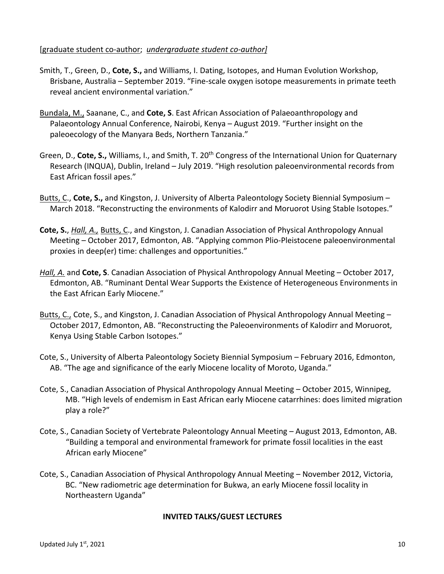#### [graduate student co-author; *undergraduate student co-author]*

- Smith, T., Green, D., **Cote, S.,** and Williams, I. Dating, Isotopes, and Human Evolution Workshop, Brisbane, Australia – September 2019. "Fine-scale oxygen isotope measurements in primate teeth reveal ancient environmental variation."
- Bundala, M., Saanane, C., and **Cote, S**. East African Association of Palaeoanthropology and Palaeontology Annual Conference, Nairobi, Kenya – August 2019. "Further insight on the paleoecology of the Manyara Beds, Northern Tanzania."
- Green, D., Cote, S., Williams, I., and Smith, T. 20<sup>th</sup> Congress of the International Union for Quaternary Research (INQUA), Dublin, Ireland – July 2019. "High resolution paleoenvironmental records from East African fossil apes."
- Butts, C., **Cote, S.,** and Kingston, J. University of Alberta Paleontology Society Biennial Symposium March 2018. "Reconstructing the environments of Kalodirr and Moruorot Using Stable Isotopes."
- **Cote, S.**, *Hall, A.,* Butts, C., and Kingston, J. Canadian Association of Physical Anthropology Annual Meeting – October 2017, Edmonton, AB. "Applying common Plio-Pleistocene paleoenvironmental proxies in deep(er) time: challenges and opportunities."
- *Hall, A.* and **Cote, S**. Canadian Association of Physical Anthropology Annual Meeting October 2017, Edmonton, AB. "Ruminant Dental Wear Supports the Existence of Heterogeneous Environments in the East African Early Miocene."
- Butts, C., Cote, S., and Kingston, J. Canadian Association of Physical Anthropology Annual Meeting -October 2017, Edmonton, AB. "Reconstructing the Paleoenvironments of Kalodirr and Moruorot, Kenya Using Stable Carbon Isotopes."
- Cote, S., University of Alberta Paleontology Society Biennial Symposium February 2016, Edmonton, AB. "The age and significance of the early Miocene locality of Moroto, Uganda."
- Cote, S., Canadian Association of Physical Anthropology Annual Meeting October 2015, Winnipeg, MB. "High levels of endemism in East African early Miocene catarrhines: does limited migration play a role?"
- Cote, S., Canadian Society of Vertebrate Paleontology Annual Meeting August 2013, Edmonton, AB. "Building a temporal and environmental framework for primate fossil localities in the east African early Miocene"
- Cote, S., Canadian Association of Physical Anthropology Annual Meeting November 2012, Victoria, BC. "New radiometric age determination for Bukwa, an early Miocene fossil locality in Northeastern Uganda"

#### **INVITED TALKS/GUEST LECTURES**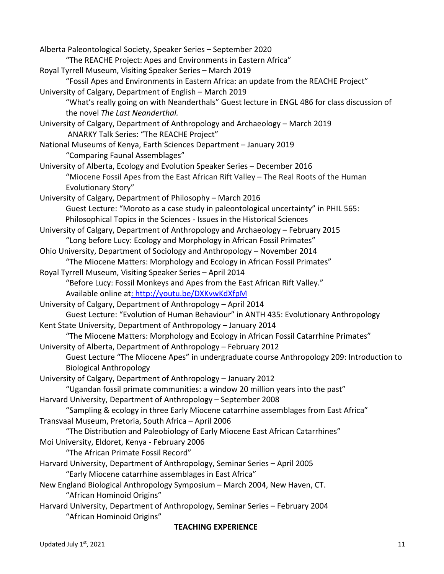| Alberta Paleontological Society, Speaker Series - September 2020<br>"The REACHE Project: Apes and Environments in Eastern Africa" |
|-----------------------------------------------------------------------------------------------------------------------------------|
|                                                                                                                                   |
| Royal Tyrrell Museum, Visiting Speaker Series - March 2019                                                                        |
| "Fossil Apes and Environments in Eastern Africa: an update from the REACHE Project"                                               |
| University of Calgary, Department of English - March 2019                                                                         |
| "What's really going on with Neanderthals" Guest lecture in ENGL 486 for class discussion of                                      |
| the novel The Last Neanderthal.                                                                                                   |
| University of Calgary, Department of Anthropology and Archaeology - March 2019                                                    |
| ANARKY Talk Series: "The REACHE Project"                                                                                          |
| National Museums of Kenya, Earth Sciences Department - January 2019                                                               |
| "Comparing Faunal Assemblages"                                                                                                    |
| University of Alberta, Ecology and Evolution Speaker Series - December 2016                                                       |
| "Miocene Fossil Apes from the East African Rift Valley - The Real Roots of the Human                                              |
| <b>Evolutionary Story"</b>                                                                                                        |
| University of Calgary, Department of Philosophy - March 2016                                                                      |
| Guest Lecture: "Moroto as a case study in paleontological uncertainty" in PHIL 565:                                               |
| Philosophical Topics in the Sciences - Issues in the Historical Sciences                                                          |
| University of Calgary, Department of Anthropology and Archaeology - February 2015                                                 |
| "Long before Lucy: Ecology and Morphology in African Fossil Primates"                                                             |
| Ohio University, Department of Sociology and Anthropology - November 2014                                                         |
| "The Miocene Matters: Morphology and Ecology in African Fossil Primates"                                                          |
| Royal Tyrrell Museum, Visiting Speaker Series - April 2014                                                                        |
| "Before Lucy: Fossil Monkeys and Apes from the East African Rift Valley."                                                         |
| Available online at: http://youtu.be/DXKvwKdXfpM                                                                                  |
| University of Calgary, Department of Anthropology - April 2014                                                                    |
| Guest Lecture: "Evolution of Human Behaviour" in ANTH 435: Evolutionary Anthropology                                              |
| Kent State University, Department of Anthropology - January 2014                                                                  |
| "The Miocene Matters: Morphology and Ecology in African Fossil Catarrhine Primates"                                               |
| University of Alberta, Department of Anthropology - February 2012                                                                 |
| Guest Lecture "The Miocene Apes" in undergraduate course Anthropology 209: Introduction to                                        |
| <b>Biological Anthropology</b>                                                                                                    |
| University of Calgary, Department of Anthropology - January 2012                                                                  |
| "Ugandan fossil primate communities: a window 20 million years into the past"                                                     |
| Harvard University, Department of Anthropology - September 2008                                                                   |
| "Sampling & ecology in three Early Miocene catarrhine assemblages from East Africa"                                               |
| Transvaal Museum, Pretoria, South Africa - April 2006                                                                             |
| "The Distribution and Paleobiology of Early Miocene East African Catarrhines"                                                     |
| Moi University, Eldoret, Kenya - February 2006                                                                                    |
| "The African Primate Fossil Record"                                                                                               |
| Harvard University, Department of Anthropology, Seminar Series - April 2005                                                       |
| "Early Miocene catarrhine assemblages in East Africa"                                                                             |
| New England Biological Anthropology Symposium - March 2004, New Haven, CT.                                                        |
| "African Hominoid Origins"                                                                                                        |
| Harvard University, Department of Anthropology, Seminar Series - February 2004                                                    |
| "African Hominoid Origins"                                                                                                        |
|                                                                                                                                   |

#### **TEACHING EXPERIENCE**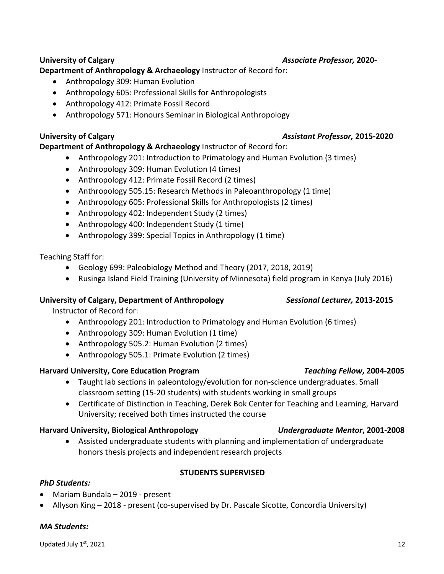# **University of Calgary** *Associate Professor,* **2020-**

# **Department of Anthropology & Archaeology** Instructor of Record for:

- Anthropology 309: Human Evolution
- Anthropology 605: Professional Skills for Anthropologists
- Anthropology 412: Primate Fossil Record
- Anthropology 571: Honours Seminar in Biological Anthropology

# **University of Calgary** *Assistant Professor,* **2015-2020**

# **Department of Anthropology & Archaeology** Instructor of Record for:

- Anthropology 201: Introduction to Primatology and Human Evolution (3 times)
- Anthropology 309: Human Evolution (4 times)
- Anthropology 412: Primate Fossil Record (2 times)
- Anthropology 505.15: Research Methods in Paleoanthropology (1 time)
- Anthropology 605: Professional Skills for Anthropologists (2 times)
- Anthropology 402: Independent Study (2 times)
- Anthropology 400: Independent Study (1 time)
- Anthropology 399: Special Topics in Anthropology (1 time)

# Teaching Staff for:

- Geology 699: Paleobiology Method and Theory (2017, 2018, 2019)
- Rusinga Island Field Training (University of Minnesota) field program in Kenya (July 2016)

# **University of Calgary, Department of Anthropology** *Sessional Lecturer,* **2013-2015**

Instructor of Record for:

- Anthropology 201: Introduction to Primatology and Human Evolution (6 times)
- Anthropology 309: Human Evolution (1 time)
- Anthropology 505.2: Human Evolution (2 times)
- Anthropology 505.1: Primate Evolution (2 times)

# **Harvard University, Core Education Program** *Teaching Fellow***, 2004-2005**

- Taught lab sections in paleontology/evolution for non-science undergraduates. Small classroom setting (15-20 students) with students working in small groups
- Certificate of Distinction in Teaching, Derek Bok Center for Teaching and Learning, Harvard University; received both times instructed the course

# **Harvard University, Biological Anthropology** *Undergraduate Mentor***, 2001-2008**

• Assisted undergraduate students with planning and implementation of undergraduate honors thesis projects and independent research projects

### **STUDENTS SUPERVISED**

# *PhD Students:*

- Mariam Bundala 2019 present
- Allyson King 2018 present (co-supervised by Dr. Pascale Sicotte, Concordia University)

## *MA Students:*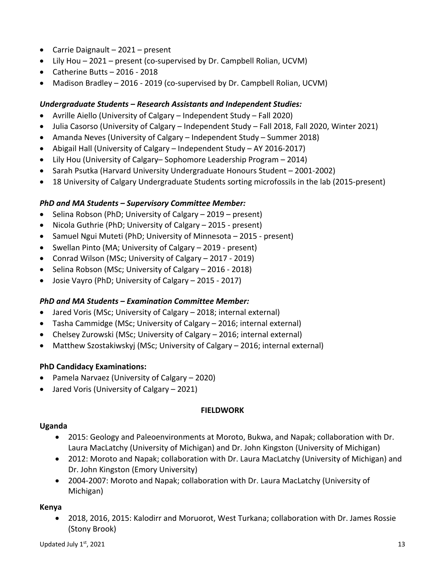- Carrie Daignault 2021 present
- Lily Hou 2021 present (co-supervised by Dr. Campbell Rolian, UCVM)
- Catherine Butts 2016 2018
- Madison Bradley 2016 2019 (co-supervised by Dr. Campbell Rolian, UCVM)

## *Undergraduate Students – Research Assistants and Independent Studies:*

- Avrille Aiello (University of Calgary Independent Study Fall 2020)
- Julia Casorso (University of Calgary Independent Study Fall 2018, Fall 2020, Winter 2021)
- Amanda Neves (University of Calgary Independent Study Summer 2018)
- Abigail Hall (University of Calgary Independent Study AY 2016-2017)
- Lily Hou (University of Calgary– Sophomore Leadership Program 2014)
- Sarah Psutka (Harvard University Undergraduate Honours Student 2001-2002)
- 18 University of Calgary Undergraduate Students sorting microfossils in the lab (2015-present)

## *PhD and MA Students – Supervisory Committee Member:*

- Selina Robson (PhD; University of Calgary 2019 present)
- Nicola Guthrie (PhD; University of Calgary 2015 present)
- Samuel Ngui Muteti (PhD; University of Minnesota 2015 present)
- Swellan Pinto (MA; University of Calgary 2019 present)
- Conrad Wilson (MSc; University of Calgary 2017 2019)
- Selina Robson (MSc; University of Calgary 2016 2018)
- Josie Vayro (PhD; University of Calgary 2015 2017)

## *PhD and MA Students – Examination Committee Member:*

- Jared Voris (MSc; University of Calgary 2018; internal external)
- Tasha Cammidge (MSc; University of Calgary 2016; internal external)
- Chelsey Zurowski (MSc; University of Calgary 2016; internal external)
- Matthew Szostakiwskyj (MSc; University of Calgary 2016; internal external)

## **PhD Candidacy Examinations:**

- Pamela Narvaez (University of Calgary 2020)
- Jared Voris (University of Calgary 2021)

### **FIELDWORK**

### **Uganda**

- 2015: Geology and Paleoenvironments at Moroto, Bukwa, and Napak; collaboration with Dr. Laura MacLatchy (University of Michigan) and Dr. John Kingston (University of Michigan)
- 2012: Moroto and Napak; collaboration with Dr. Laura MacLatchy (University of Michigan) and Dr. John Kingston (Emory University)
- 2004-2007: Moroto and Napak; collaboration with Dr. Laura MacLatchy (University of Michigan)

### **Kenya**

• 2018, 2016, 2015: Kalodirr and Moruorot, West Turkana; collaboration with Dr. James Rossie (Stony Brook)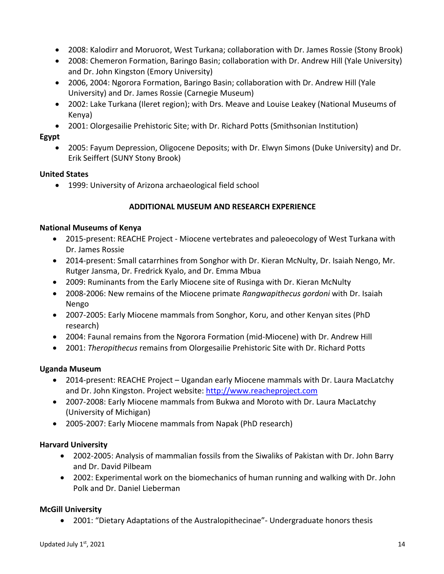- 2008: Kalodirr and Moruorot, West Turkana; collaboration with Dr. James Rossie (Stony Brook)
- 2008: Chemeron Formation, Baringo Basin; collaboration with Dr. Andrew Hill (Yale University) and Dr. John Kingston (Emory University)
- 2006, 2004: Ngorora Formation, Baringo Basin; collaboration with Dr. Andrew Hill (Yale University) and Dr. James Rossie (Carnegie Museum)
- 2002: Lake Turkana (Ileret region); with Drs. Meave and Louise Leakey (National Museums of Kenya)
- 2001: Olorgesailie Prehistoric Site; with Dr. Richard Potts (Smithsonian Institution)

## **Egypt**

• 2005: Fayum Depression, Oligocene Deposits; with Dr. Elwyn Simons (Duke University) and Dr. Erik Seiffert (SUNY Stony Brook)

### **United States**

• 1999: University of Arizona archaeological field school

## **ADDITIONAL MUSEUM AND RESEARCH EXPERIENCE**

### **National Museums of Kenya**

- 2015-present: REACHE Project Miocene vertebrates and paleoecology of West Turkana with Dr. James Rossie
- 2014-present: Small catarrhines from Songhor with Dr. Kieran McNulty, Dr. Isaiah Nengo, Mr. Rutger Jansma, Dr. Fredrick Kyalo, and Dr. Emma Mbua
- 2009: Ruminants from the Early Miocene site of Rusinga with Dr. Kieran McNulty
- 2008-2006: New remains of the Miocene primate *Rangwapithecus gordoni* with Dr. Isaiah Nengo
- 2007-2005: Early Miocene mammals from Songhor, Koru, and other Kenyan sites (PhD research)
- 2004: Faunal remains from the Ngorora Formation (mid-Miocene) with Dr. Andrew Hill
- 2001: *Theropithecus* remains from Olorgesailie Prehistoric Site with Dr. Richard Potts

### **Uganda Museum**

- 2014-present: REACHE Project Ugandan early Miocene mammals with Dr. Laura MacLatchy and Dr. John Kingston. Project website: http://www.reacheproject.com
- 2007-2008: Early Miocene mammals from Bukwa and Moroto with Dr. Laura MacLatchy (University of Michigan)
- 2005-2007: Early Miocene mammals from Napak (PhD research)

### **Harvard University**

- 2002-2005: Analysis of mammalian fossils from the Siwaliks of Pakistan with Dr. John Barry and Dr. David Pilbeam
- 2002: Experimental work on the biomechanics of human running and walking with Dr. John Polk and Dr. Daniel Lieberman

## **McGill University**

• 2001: "Dietary Adaptations of the Australopithecinae"- Undergraduate honors thesis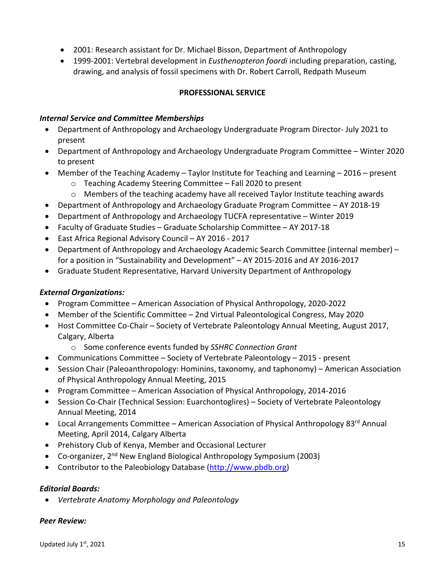- 2001: Research assistant for Dr. Michael Bisson, Department of Anthropology
- 1999-2001: Vertebral development in *Eusthenopteron foordi* including preparation, casting, drawing, and analysis of fossil specimens with Dr. Robert Carroll, Redpath Museum

## **PROFESSIONAL SERVICE**

#### *Internal Service and Committee Memberships*

- Department of Anthropology and Archaeology Undergraduate Program Director- July 2021 to present
- Department of Anthropology and Archaeology Undergraduate Program Committee Winter 2020 to present
- Member of the Teaching Academy Taylor Institute for Teaching and Learning 2016 present
	- o Teaching Academy Steering Committee Fall 2020 to present
	- $\circ$  Members of the teaching academy have all received Taylor Institute teaching awards
- Department of Anthropology and Archaeology Graduate Program Committee AY 2018-19
- Department of Anthropology and Archaeology TUCFA representative Winter 2019
- Faculty of Graduate Studies Graduate Scholarship Committee AY 2017-18
- East Africa Regional Advisory Council AY 2016 2017
- Department of Anthropology and Archaeology Academic Search Committee (internal member) for a position in "Sustainability and Development" – AY 2015-2016 and AY 2016-2017
- Graduate Student Representative, Harvard University Department of Anthropology

### *External Organizations:*

- Program Committee American Association of Physical Anthropology, 2020-2022
- Member of the Scientific Committee 2nd Virtual Paleontological Congress, May 2020
- Host Committee Co-Chair Society of Vertebrate Paleontology Annual Meeting, August 2017, Calgary, Alberta
	- o Some conference events funded by *SSHRC Connection Grant*
- Communications Committee Society of Vertebrate Paleontology 2015 present
- Session Chair (Paleoanthropology: Hominins, taxonomy, and taphonomy) American Association of Physical Anthropology Annual Meeting, 2015
- Program Committee American Association of Physical Anthropology, 2014-2016
- Session Co-Chair (Technical Session: Euarchontoglires) Society of Vertebrate Paleontology Annual Meeting, 2014
- Local Arrangements Committee American Association of Physical Anthropology 83<sup>rd</sup> Annual Meeting, April 2014, Calgary Alberta
- Prehistory Club of Kenya, Member and Occasional Lecturer
- Co-organizer, 2<sup>nd</sup> New England Biological Anthropology Symposium (2003)
- Contributor to the Paleobiology Database (http://www.pbdb.org)

### *Editorial Boards:*

• *Vertebrate Anatomy Morphology and Paleontology*

### *Peer Review:*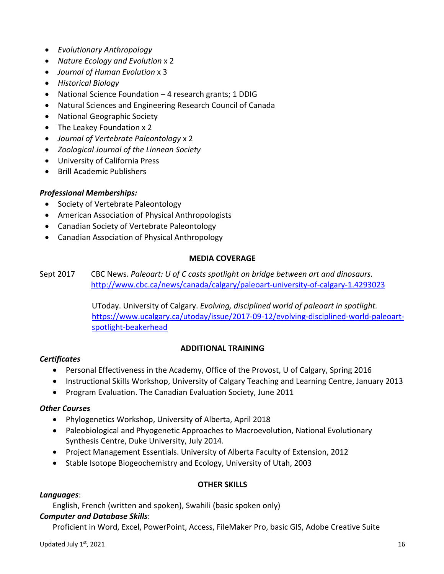- *Evolutionary Anthropology*
- *Nature Ecology and Evolution* x 2
- *Journal of Human Evolution* x 3
- *Historical Biology*
- National Science Foundation 4 research grants; 1 DDIG
- Natural Sciences and Engineering Research Council of Canada
- National Geographic Society
- The Leakey Foundation x 2
- *Journal of Vertebrate Paleontology* x 2
- *Zoological Journal of the Linnean Society*
- University of California Press
- Brill Academic Publishers

### *Professional Memberships:*

- Society of Vertebrate Paleontology
- American Association of Physical Anthropologists
- Canadian Society of Vertebrate Paleontology
- Canadian Association of Physical Anthropology

#### **MEDIA COVERAGE**

Sept 2017 CBC News. *Paleoart: U of C casts spotlight on bridge between art and dinosaurs.* http://www.cbc.ca/news/canada/calgary/paleoart-university-of-calgary-1.4293023

> UToday. University of Calgary. *Evolving, disciplined world of paleoart in spotlight.* https://www.ucalgary.ca/utoday/issue/2017-09-12/evolving-disciplined-world-paleoartspotlight-beakerhead

### **ADDITIONAL TRAINING**

### *Certificates*

- Personal Effectiveness in the Academy, Office of the Provost, U of Calgary, Spring 2016
- Instructional Skills Workshop, University of Calgary Teaching and Learning Centre, January 2013
- Program Evaluation. The Canadian Evaluation Society, June 2011

### *Other Courses*

- Phylogenetics Workshop, University of Alberta, April 2018
- Paleobiological and Phyogenetic Approaches to Macroevolution, National Evolutionary Synthesis Centre, Duke University, July 2014.
- Project Management Essentials. University of Alberta Faculty of Extension, 2012
- Stable Isotope Biogeochemistry and Ecology, University of Utah, 2003

### **OTHER SKILLS**

#### *Languages*:

English, French (written and spoken), Swahili (basic spoken only)

### *Computer and Database Skills*:

Proficient in Word, Excel, PowerPoint, Access, FileMaker Pro, basic GIS, Adobe Creative Suite